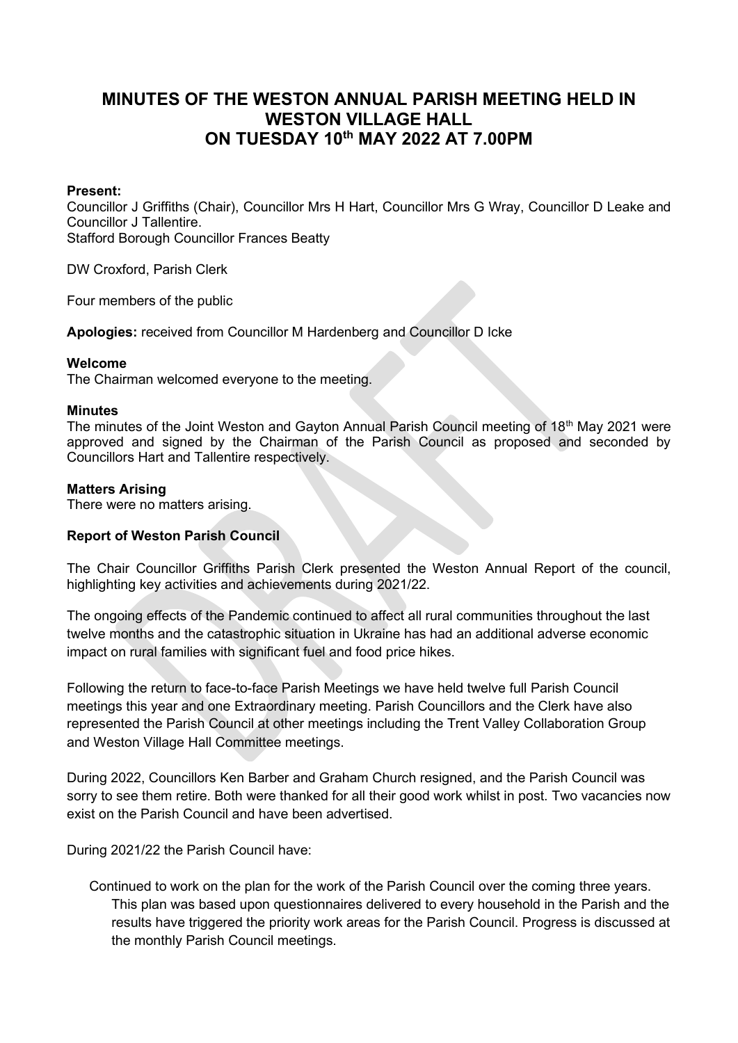# **MINUTES OF THE WESTON ANNUAL PARISH MEETING HELD IN WESTON VILLAGE HALL ON TUESDAY 10 th MAY 2022 AT 7.00PM**

#### **Present:**

Councillor J Griffiths (Chair), Councillor Mrs H Hart, Councillor Mrs G Wray, Councillor D Leake and Councillor J Tallentire. Stafford Borough Councillor Frances Beatty

DW Croxford, Parish Clerk

Four members of the public

**Apologies:** received from Councillor M Hardenberg and Councillor D Icke

#### **Welcome**

The Chairman welcomed everyone to the meeting.

#### **Minutes**

The minutes of the Joint Weston and Gayton Annual Parish Council meeting of 18<sup>th</sup> May 2021 were approved and signed by the Chairman of the Parish Council as proposed and seconded by Councillors Hart and Tallentire respectively.

#### **Matters Arising**

There were no matters arising.

## **Report of Weston Parish Council**

The Chair Councillor Griffiths Parish Clerk presented the Weston Annual Report of the council, highlighting key activities and achievements during 2021/22.

The ongoing effects of the Pandemic continued to affect all rural communities throughout the last twelve months and the catastrophic situation in Ukraine has had an additional adverse economic impact on rural families with significant fuel and food price hikes.

Following the return to face-to-face Parish Meetings we have held twelve full Parish Council meetings this year and one Extraordinary meeting. Parish Councillors and the Clerk have also represented the Parish Council at other meetings including the Trent Valley Collaboration Group and Weston Village Hall Committee meetings.

During 2022, Councillors Ken Barber and Graham Church resigned, and the Parish Council was sorry to see them retire. Both were thanked for all their good work whilst in post. Two vacancies now exist on the Parish Council and have been advertised.

During 2021/22 the Parish Council have:

Continued to work on the plan for the work of the Parish Council over the coming three years. This plan was based upon questionnaires delivered to every household in the Parish and the results have triggered the priority work areas for the Parish Council. Progress is discussed at the monthly Parish Council meetings.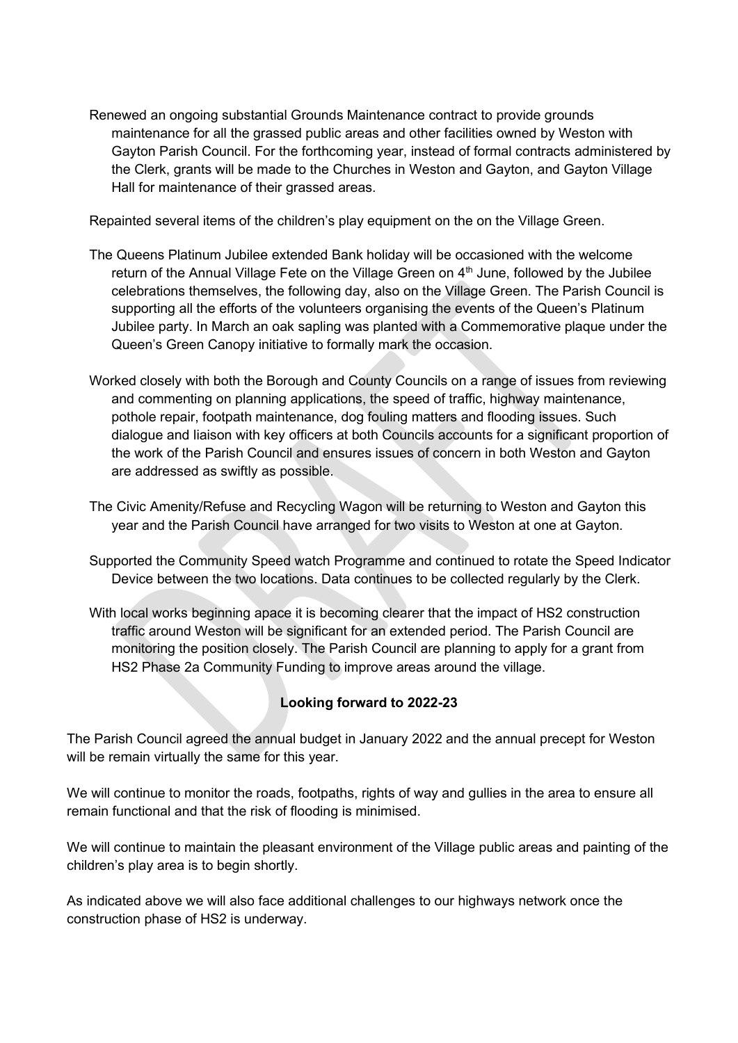Renewed an ongoing substantial Grounds Maintenance contract to provide grounds maintenance for all the grassed public areas and other facilities owned by Weston with Gayton Parish Council. For the forthcoming year, instead of formal contracts administered by the Clerk, grants will be made to the Churches in Weston and Gayton, and Gayton Village Hall for maintenance of their grassed areas.

Repainted several items of the children's play equipment on the on the Village Green.

- The Queens Platinum Jubilee extended Bank holiday will be occasioned with the welcome return of the Annual Village Fete on the Village Green on  $4<sup>th</sup>$  June, followed by the Jubilee celebrations themselves, the following day, also on the Village Green. The Parish Council is supporting all the efforts of the volunteers organising the events of the Queen's Platinum Jubilee party. In March an oak sapling was planted with a Commemorative plaque under the Queen's Green Canopy initiative to formally mark the occasion.
- Worked closely with both the Borough and County Councils on a range of issues from reviewing and commenting on planning applications, the speed of traffic, highway maintenance, pothole repair, footpath maintenance, dog fouling matters and flooding issues. Such dialogue and liaison with key officers at both Councils accounts for a significant proportion of the work of the Parish Council and ensures issues of concern in both Weston and Gayton are addressed as swiftly as possible.
- The Civic Amenity/Refuse and Recycling Wagon will be returning to Weston and Gayton this year and the Parish Council have arranged for two visits to Weston at one at Gayton.
- Supported the Community Speed watch Programme and continued to rotate the Speed Indicator Device between the two locations. Data continues to be collected regularly by the Clerk.
- With local works beginning apace it is becoming clearer that the impact of HS2 construction traffic around Weston will be significant for an extended period. The Parish Council are monitoring the position closely. The Parish Council are planning to apply for a grant from HS2 Phase 2a Community Funding to improve areas around the village.

# **Looking forward to 2022-23**

The Parish Council agreed the annual budget in January 2022 and the annual precept for Weston will be remain virtually the same for this year.

We will continue to monitor the roads, footpaths, rights of way and gullies in the area to ensure all remain functional and that the risk of flooding is minimised.

We will continue to maintain the pleasant environment of the Village public areas and painting of the children's play area is to begin shortly.

As indicated above we will also face additional challenges to our highways network once the construction phase of HS2 is underway.